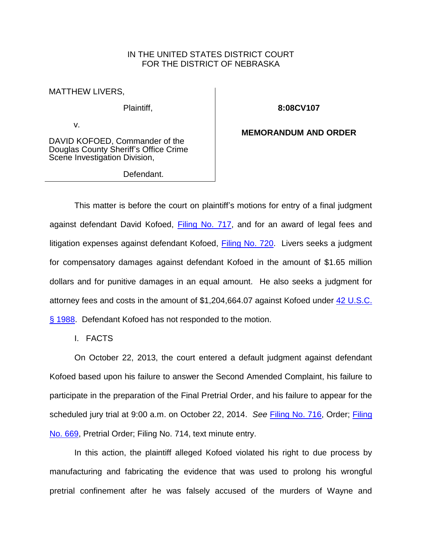# IN THE UNITED STATES DISTRICT COURT FOR THE DISTRICT OF NEBRASKA

MATTHEW LIVERS,

Plaintiff,

v.

**8:08CV107**

DAVID KOFOED, Commander of the Douglas County Sheriff's Office Crime Scene Investigation Division,

Defendant.

**MEMORANDUM AND ORDER**

This matter is before the court on plaintiff's motions for entry of a final judgment against defendant David Kofoed, [Filing No. 717,](https://ecf.ned.uscourts.gov/doc1/11312898438) and for an award of legal fees and litigation expenses against defendant Kofoed, [Filing No. 720.](https://ecf.ned.uscourts.gov/doc1/11312898585) Livers seeks a judgment for compensatory damages against defendant Kofoed in the amount of \$1.65 million dollars and for punitive damages in an equal amount. He also seeks a judgment for attorney fees and costs in the amount of \$1,204,664.07 against Kofoed under [42 U.S.C.](http://web2.westlaw.com/find/default.wl?cite=42+usc+1988&rs=WLW14.01&vr=2.0&rp=%2ffind%2fdefault.wl&sv=Split&fn=_top&mt=Westlaw)  [§ 1988.](http://web2.westlaw.com/find/default.wl?cite=42+usc+1988&rs=WLW14.01&vr=2.0&rp=%2ffind%2fdefault.wl&sv=Split&fn=_top&mt=Westlaw) Defendant Kofoed has not responded to the motion.

I. FACTS

On October 22, 2013, the court entered a default judgment against defendant Kofoed based upon his failure to answer the Second Amended Complaint, his failure to participate in the preparation of the Final Pretrial Order, and his failure to appear for the scheduled jury trial at 9:00 a.m. on October 22, 2014. *See* [Filing No. 716,](https://ecf.ned.uscourts.gov/doc1/11312891113) Order; [Filing](https://ecf.ned.uscourts.gov/doc1/11302876418)  [No. 669,](https://ecf.ned.uscourts.gov/doc1/11302876418) Pretrial Order; Filing No. 714, text minute entry.

In this action, the plaintiff alleged Kofoed violated his right to due process by manufacturing and fabricating the evidence that was used to prolong his wrongful pretrial confinement after he was falsely accused of the murders of Wayne and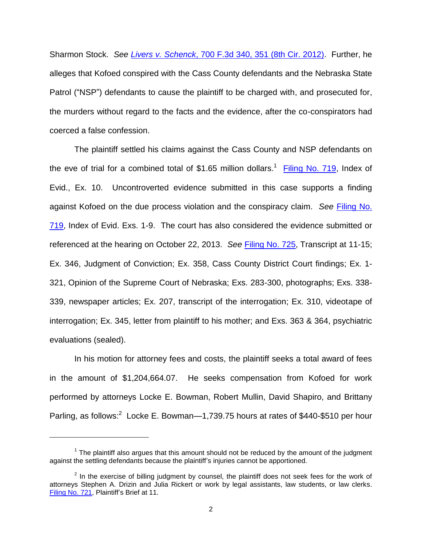Sharmon Stock. *See Livers v. Schenck*[, 700 F.3d 340, 351 \(8th Cir. 2012\).](http://web2.westlaw.com/find/default.wl?cite=700+f3d+340&rs=WLW14.01&vr=2.0&rp=%2ffind%2fdefault.wl&sv=Split&fn=_top&mt=Westlaw) Further, he alleges that Kofoed conspired with the Cass County defendants and the Nebraska State Patrol ("NSP") defendants to cause the plaintiff to be charged with, and prosecuted for, the murders without regard to the facts and the evidence, after the co-conspirators had coerced a false confession.

The plaintiff settled his claims against the Cass County and NSP defendants on the eve of trial for a combined total of \$1.65 million dollars.<sup>1</sup> [Filing No. 719,](https://ecf.ned.uscourts.gov/doc1/11312898523) Index of Evid., Ex. 10. Uncontroverted evidence submitted in this case supports a finding against Kofoed on the due process violation and the conspiracy claim. *See* [Filing No.](https://ecf.ned.uscourts.gov/doc1/11312898523)  [719,](https://ecf.ned.uscourts.gov/doc1/11312898523) Index of Evid. Exs. 1-9. The court has also considered the evidence submitted or referenced at the hearing on October 22, 2013. *See* [Filing No. 725,](https://ecf.ned.uscourts.gov/doc1/11312906431) Transcript at 11-15; Ex. 346, Judgment of Conviction; Ex. 358, Cass County District Court findings; Ex. 1- 321, Opinion of the Supreme Court of Nebraska; Exs. 283-300, photographs; Exs. 338- 339, newspaper articles; Ex. 207, transcript of the interrogation; Ex. 310, videotape of interrogation; Ex. 345, letter from plaintiff to his mother; and Exs. 363 & 364, psychiatric evaluations (sealed).

In his motion for attorney fees and costs, the plaintiff seeks a total award of fees in the amount of \$1,204,664.07. He seeks compensation from Kofoed for work performed by attorneys Locke E. Bowman, Robert Mullin, David Shapiro, and Brittany Parling, as follows:<sup>2</sup> Locke E. Bowman—1,739.75 hours at rates of \$440-\$510 per hour

 $\overline{a}$ 

 $1$  The plaintiff also argues that this amount should not be reduced by the amount of the judgment against the settling defendants because the plaintiff's injuries cannot be apportioned.

 $2$  In the exercise of billing judgment by counsel, the plaintiff does not seek fees for the work of attorneys Stephen A. Drizin and Julia Rickert or work by legal assistants, law students, or law clerks. [Filing No. 721,](https://ecf.ned.uscourts.gov/doc1/11312898588) Plaintiff's Brief at 11.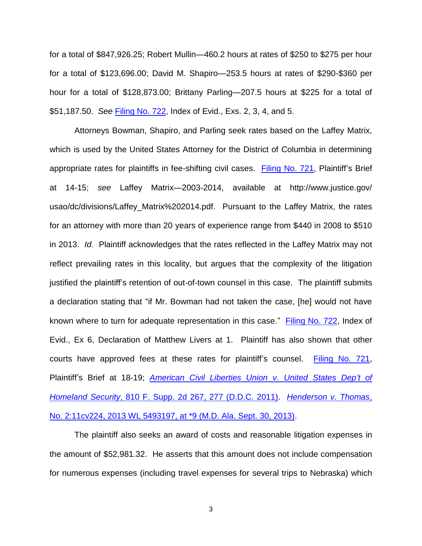for a total of \$847,926.25; Robert Mullin—460.2 hours at rates of \$250 to \$275 per hour for a total of \$123,696.00; David M. Shapiro—253.5 hours at rates of \$290-\$360 per hour for a total of \$128,873.00; Brittany Parling—207.5 hours at \$225 for a total of \$51,187.50. *See* [Filing No. 722,](https://ecf.ned.uscourts.gov/doc1/11312898591) Index of Evid., Exs. 2, 3, 4, and 5.

Attorneys Bowman, Shapiro, and Parling seek rates based on the Laffey Matrix, which is used by the United States Attorney for the District of Columbia in determining appropriate rates for plaintiffs in fee-shifting civil cases. [Filing No. 721,](https://ecf.ned.uscourts.gov/doc1/11312898588) Plaintiff's Brief at 14-15; *see* Laffey Matrix—2003-2014, available at http://www.justice.gov/ usao/dc/divisions/Laffey\_Matrix%202014.pdf. Pursuant to the Laffey Matrix, the rates for an attorney with more than 20 years of experience range from \$440 in 2008 to \$510 in 2013. *Id.* Plaintiff acknowledges that the rates reflected in the Laffey Matrix may not reflect prevailing rates in this locality, but argues that the complexity of the litigation justified the plaintiff's retention of out-of-town counsel in this case. The plaintiff submits a declaration stating that "if Mr. Bowman had not taken the case, [he] would not have known where to turn for adequate representation in this case." [Filing No. 722,](https://ecf.ned.uscourts.gov/doc1/11312898591) Index of Evid., Ex 6, Declaration of Matthew Livers at 1. Plaintiff has also shown that other courts have approved fees at these rates for plaintiff's counsel. [Filing No. 721,](https://ecf.ned.uscourts.gov/doc1/11312898588) Plaintiff's Brief at 18-19; *[American Civil Liberties Union v. United States Dep't of](http://web2.westlaw.com/find/default.wl?cite=810+fsupp2d+267%5c&rs=WLW14.01&vr=2.0&rp=%2ffind%2fdefault.wl&sv=Split&fn=_top&mt=Westlaw)  Homeland Security*[, 810 F. Supp. 2d 267, 277 \(D.D.C. 2011\).](http://web2.westlaw.com/find/default.wl?cite=810+fsupp2d+267%5c&rs=WLW14.01&vr=2.0&rp=%2ffind%2fdefault.wl&sv=Split&fn=_top&mt=Westlaw) *[Henderson v. Thomas](http://web2.westlaw.com/find/default.wl?cite=2013+wl+5493197&rs=WLW14.01&vr=2.0&rp=%2ffind%2fdefault.wl&sv=Split&fn=_top&mt=Westlaw)*, [No. 2:11cv224, 2013 WL 5493197, at \\*9 \(M.D. Ala. Sept. 30, 2013\).](http://web2.westlaw.com/find/default.wl?cite=2013+wl+5493197&rs=WLW14.01&vr=2.0&rp=%2ffind%2fdefault.wl&sv=Split&fn=_top&mt=Westlaw)

The plaintiff also seeks an award of costs and reasonable litigation expenses in the amount of \$52,981.32. He asserts that this amount does not include compensation for numerous expenses (including travel expenses for several trips to Nebraska) which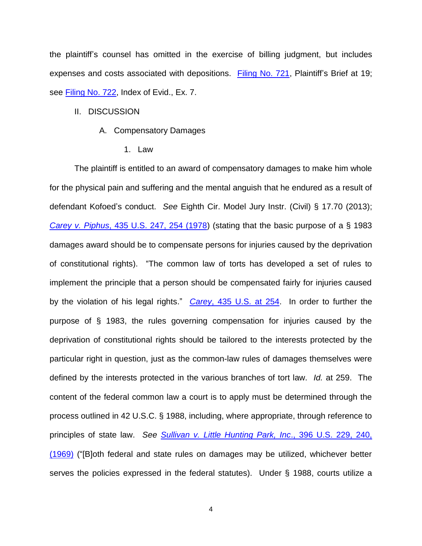the plaintiff's counsel has omitted in the exercise of billing judgment, but includes expenses and costs associated with depositions. [Filing No. 721,](https://ecf.ned.uscourts.gov/doc1/11312898588) Plaintiff's Brief at 19; see [Filing No. 722,](https://ecf.ned.uscourts.gov/doc1/11312898591) Index of Evid., Ex. 7.

## II. DISCUSSION

### A. Compensatory Damages

1. Law

The plaintiff is entitled to an award of compensatory damages to make him whole for the physical pain and suffering and the mental anguish that he endured as a result of defendant Kofoed's conduct. *See* Eighth Cir. Model Jury Instr. (Civil) § 17.70 (2013); *Carey v. Piphus*[, 435 U.S. 247, 254 \(1978\)](http://web2.westlaw.com/find/default.wl?cite=435+us+247&rs=WLW14.01&vr=2.0&rp=%2ffind%2fdefault.wl&sv=Split&fn=_top&mt=Westlaw) (stating that the basic purpose of a § 1983 damages award should be to compensate persons for injuries caused by the deprivation of constitutional rights). "The common law of torts has developed a set of rules to implement the principle that a person should be compensated fairly for injuries caused by the violation of his legal rights." *Carey*[, 435 U.S. at 254.](http://web2.westlaw.com/find/default.wl?cite=435+us+247&rs=WLW14.01&vr=2.0&rp=%2ffind%2fdefault.wl&sv=Split&fn=_top&mt=Westlaw) In order to further the purpose of § 1983, the rules governing compensation for injuries caused by the deprivation of constitutional rights should be tailored to the interests protected by the particular right in question, just as the common-law rules of damages themselves were defined by the interests protected in the various branches of tort law. *Id.* at 259. The content of the federal common law a court is to apply must be determined through the process outlined in 42 U.S.C. § 1988, including, where appropriate, through reference to principles of state law. *See [Sullivan v. Little Hunting Park, Inc](http://web2.westlaw.com/find/default.wl?cite=396+us+229&rs=WLW14.01&vr=2.0&rp=%2ffind%2fdefault.wl&sv=Split&fn=_top&mt=Westlaw)*., 396 U.S. 229, 240, [\(1969\)](http://web2.westlaw.com/find/default.wl?cite=396+us+229&rs=WLW14.01&vr=2.0&rp=%2ffind%2fdefault.wl&sv=Split&fn=_top&mt=Westlaw) ("[B]oth federal and state rules on damages may be utilized, whichever better serves the policies expressed in the federal statutes). Under § 1988, courts utilize a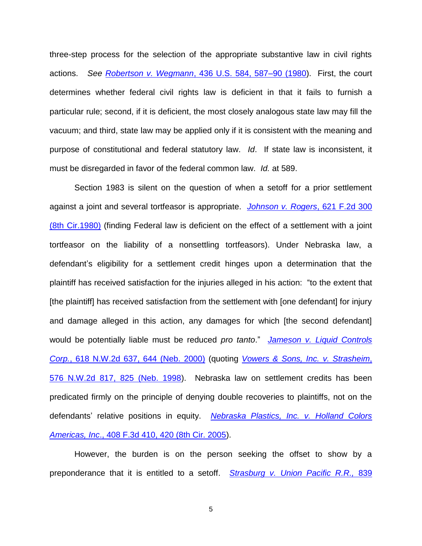three-step process for the selection of the appropriate substantive law in civil rights actions. *See Robertson v. Wegmann*[, 436 U.S. 584, 587–90 \(1980\)](http://web2.westlaw.com/find/default.wl?cite=436+us+584&rs=WLW14.01&vr=2.0&rp=%2ffind%2fdefault.wl&sv=Split&fn=_top&mt=Westlaw). First, the court determines whether federal civil rights law is deficient in that it fails to furnish a particular rule; second, if it is deficient, the most closely analogous state law may fill the vacuum; and third, state law may be applied only if it is consistent with the meaning and purpose of constitutional and federal statutory law. *Id*. If state law is inconsistent, it must be disregarded in favor of the federal common law. *Id.* at 589.

Section 1983 is silent on the question of when a setoff for a prior settlement against a joint and several tortfeasor is appropriate. *[Johnson v. Rogers](http://web2.westlaw.com/find/default.wl?cite=621+f2d+300&rs=WLW14.01&vr=2.0&rp=%2ffind%2fdefault.wl&sv=Split&fn=_top&mt=Westlaw)*, 621 F.2d 300 [\(8th Cir.1980\)](http://web2.westlaw.com/find/default.wl?cite=621+f2d+300&rs=WLW14.01&vr=2.0&rp=%2ffind%2fdefault.wl&sv=Split&fn=_top&mt=Westlaw) (finding Federal law is deficient on the effect of a settlement with a joint tortfeasor on the liability of a nonsettling tortfeasors). Under Nebraska law, a defendant's eligibility for a settlement credit hinges upon a determination that the plaintiff has received satisfaction for the injuries alleged in his action: "to the extent that [the plaintiff] has received satisfaction from the settlement with [one defendant] for injury and damage alleged in this action, any damages for which [the second defendant] would be potentially liable must be reduced *pro tanto*." *[Jameson v. Liquid Controls](http://web2.westlaw.com/find/default.wl?cite=618+nw2d+637&rs=WLW14.01&vr=2.0&rp=%2ffind%2fdefault.wl&sv=Split&fn=_top&mt=Westlaw)  Corp.*[, 618 N.W.2d 637, 644 \(Neb.](http://web2.westlaw.com/find/default.wl?cite=618+nw2d+637&rs=WLW14.01&vr=2.0&rp=%2ffind%2fdefault.wl&sv=Split&fn=_top&mt=Westlaw) 2000) (quoting *[Vowers & Sons, Inc.](http://web2.westlaw.com/find/default.wl?cite=576+nw2d++817&rs=WLW14.01&vr=2.0&rp=%2ffind%2fdefault.wl&sv=Split&fn=_top&mt=Westlaw) v. Strasheim*, [576 N.W.2d 817, 825](http://web2.westlaw.com/find/default.wl?cite=576+nw2d++817&rs=WLW14.01&vr=2.0&rp=%2ffind%2fdefault.wl&sv=Split&fn=_top&mt=Westlaw) (Neb. 1998). Nebraska law on settlement credits has been predicated firmly on the principle of denying double recoveries to plaintiffs, not on the defendants' relative positions in equity. *[Nebraska Plastics, Inc. v. Holland Colors](http://web2.westlaw.com/find/default.wl?cite=408+f3d+410&rs=WLW14.01&vr=2.0&rp=%2ffind%2fdefault.wl&sv=Split&fn=_top&mt=Westlaw)  Americas, Inc*[., 408 F.3d 410, 420 \(8th Cir. 2005\)](http://web2.westlaw.com/find/default.wl?cite=408+f3d+410&rs=WLW14.01&vr=2.0&rp=%2ffind%2fdefault.wl&sv=Split&fn=_top&mt=Westlaw).

However, the burden is on the person seeking the offset to show by a preponderance that it is entitled to a setoff. *[Strasburg v. Union Pacific R.R.,](http://web2.westlaw.com/find/default.wl?cite=839+nw2d+273&rs=WLW14.01&vr=2.0&rp=%2ffind%2fdefault.wl&sv=Split&fn=_top&mt=Westlaw)* 839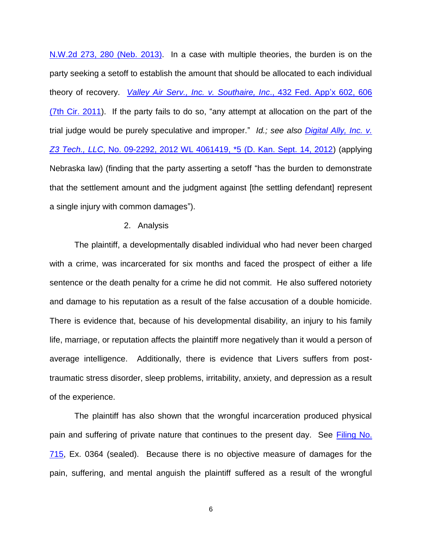[N.W.2d 273, 280 \(Neb. 2013\).](http://web2.westlaw.com/find/default.wl?cite=839+nw2d+273&rs=WLW14.01&vr=2.0&rp=%2ffind%2fdefault.wl&sv=Split&fn=_top&mt=Westlaw) In a case with multiple theories, the burden is on the party seeking a setoff to establish the amount that should be allocated to each individual theory of recovery. *[Valley Air Serv., Inc. v. Southaire, Inc](http://web2.westlaw.com/find/default.wl?cite=432+fed+appx+602&rs=WLW14.01&vr=2.0&rp=%2ffind%2fdefault.wl&sv=Split&fn=_top&mt=Westlaw)*., 432 Fed. App'x 602, 606 [\(7th Cir. 2011\)](http://web2.westlaw.com/find/default.wl?cite=432+fed+appx+602&rs=WLW14.01&vr=2.0&rp=%2ffind%2fdefault.wl&sv=Split&fn=_top&mt=Westlaw). If the party fails to do so, "any attempt at allocation on the part of the trial judge would be purely speculative and improper." *Id.; see also [Digital Ally, Inc. v.](http://web2.westlaw.com/find/default.wl?cite=2012+wl+4061419&rs=WLW14.01&vr=2.0&rp=%2ffind%2fdefault.wl&sv=Split&fn=_top&mt=Westlaw)  Z3 Tech., LLC*[, No. 09-2292, 2012 WL 4061419, \\*5 \(D. Kan. Sept. 14, 2012\)](http://web2.westlaw.com/find/default.wl?cite=2012+wl+4061419&rs=WLW14.01&vr=2.0&rp=%2ffind%2fdefault.wl&sv=Split&fn=_top&mt=Westlaw) (applying Nebraska law) (finding that the party asserting a setoff "has the burden to demonstrate that the settlement amount and the judgment against [the settling defendant] represent a single injury with common damages").

#### 2. Analysis

The plaintiff, a developmentally disabled individual who had never been charged with a crime, was incarcerated for six months and faced the prospect of either a life sentence or the death penalty for a crime he did not commit. He also suffered notoriety and damage to his reputation as a result of the false accusation of a double homicide. There is evidence that, because of his developmental disability, an injury to his family life, marriage, or reputation affects the plaintiff more negatively than it would a person of average intelligence. Additionally, there is evidence that Livers suffers from posttraumatic stress disorder, sleep problems, irritability, anxiety, and depression as a result of the experience.

The plaintiff has also shown that the wrongful incarceration produced physical pain and suffering of private nature that continues to the present day. See Filing No. [715,](https://ecf.ned.uscourts.gov/doc1/11312890576) Ex. 0364 (sealed). Because there is no objective measure of damages for the pain, suffering, and mental anguish the plaintiff suffered as a result of the wrongful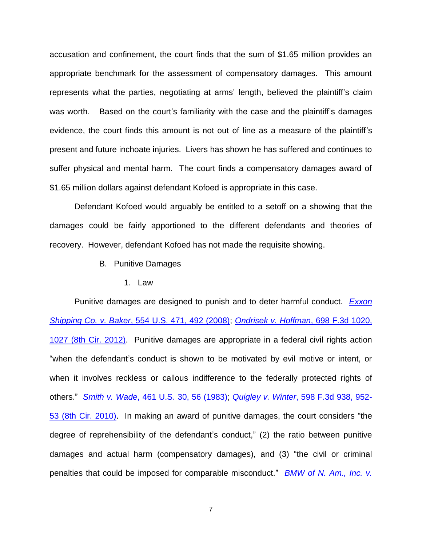accusation and confinement, the court finds that the sum of \$1.65 million provides an appropriate benchmark for the assessment of compensatory damages. This amount represents what the parties, negotiating at arms' length, believed the plaintiff's claim was worth. Based on the court's familiarity with the case and the plaintiff's damages evidence, the court finds this amount is not out of line as a measure of the plaintiff's present and future inchoate injuries. Livers has shown he has suffered and continues to suffer physical and mental harm. The court finds a compensatory damages award of \$1.65 million dollars against defendant Kofoed is appropriate in this case.

Defendant Kofoed would arguably be entitled to a setoff on a showing that the damages could be fairly apportioned to the different defendants and theories of recovery. However, defendant Kofoed has not made the requisite showing.

- B. Punitive Damages
	- 1. Law

Punitive damages are designed to punish and to deter harmful conduct. *[Exxon](http://web2.westlaw.com/find/default.wl?cite=554+us+471&rs=WLW14.01&vr=2.0&rp=%2ffind%2fdefault.wl&sv=Split&fn=_top&mt=Westlaw)  Shipping Co. v. Baker*[, 554 U.S. 471, 492 \(2008\);](http://web2.westlaw.com/find/default.wl?cite=554+us+471&rs=WLW14.01&vr=2.0&rp=%2ffind%2fdefault.wl&sv=Split&fn=_top&mt=Westlaw) *[Ondrisek v. Hoffman](http://web2.westlaw.com/find/default.wl?cite=698+f3d+1020&rs=WLW14.01&vr=2.0&rp=%2ffind%2fdefault.wl&sv=Split&fn=_top&mt=Westlaw)*, 698 F.3d 1020, [1027 \(8th Cir. 2012\).](http://web2.westlaw.com/find/default.wl?cite=698+f3d+1020&rs=WLW14.01&vr=2.0&rp=%2ffind%2fdefault.wl&sv=Split&fn=_top&mt=Westlaw) Punitive damages are appropriate in a federal civil rights action "when the defendant's conduct is shown to be motivated by evil motive or intent, or when it involves reckless or callous indifference to the federally protected rights of others." *Smith v. Wade*[, 461 U.S. 30, 56 \(1983\);](http://web2.westlaw.com/find/default.wl?cite=461+us+30&rs=WLW14.01&vr=2.0&rp=%2ffind%2fdefault.wl&sv=Split&fn=_top&mt=Westlaw) *Quigley v. Winter*[, 598 F.3d 938, 952-](http://web2.westlaw.com/find/default.wl?cite=598+f3d+938&rs=WLW14.01&vr=2.0&rp=%2ffind%2fdefault.wl&sv=Split&fn=_top&mt=Westlaw) [53 \(8th Cir. 2010\).](http://web2.westlaw.com/find/default.wl?cite=598+f3d+938&rs=WLW14.01&vr=2.0&rp=%2ffind%2fdefault.wl&sv=Split&fn=_top&mt=Westlaw) In making an award of punitive damages, the court considers "the degree of reprehensibility of the defendant's conduct," (2) the ratio between punitive damages and actual harm (compensatory damages), and (3) "the civil or criminal penalties that could be imposed for comparable misconduct." *BMW of N. [Am., Inc. v.](http://web2.westlaw.com/find/default.wl?cite=517+us+559&rs=WLW14.01&vr=2.0&rp=%2ffind%2fdefault.wl&sv=Split&fn=_top&mt=Westlaw)*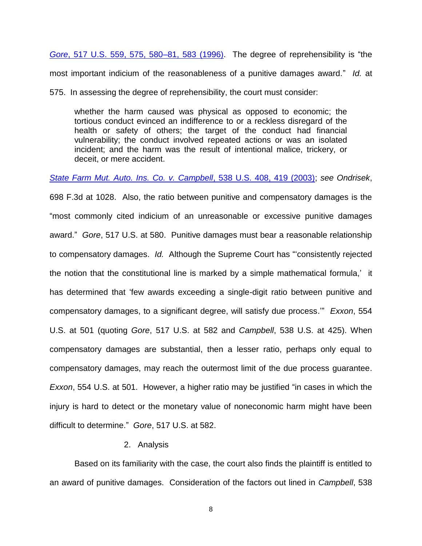*Gore*[, 517 U.S. 559, 575, 580–81, 583 \(1996\).](http://web2.westlaw.com/find/default.wl?cite=517+us+559&rs=WLW14.01&vr=2.0&rp=%2ffind%2fdefault.wl&sv=Split&fn=_top&mt=Westlaw) The degree of reprehensibility is "the most important indicium of the reasonableness of a punitive damages award." *Id.* at

575. In assessing the degree of reprehensibility, the court must consider:

whether the harm caused was physical as opposed to economic; the tortious conduct evinced an indifference to or a reckless disregard of the health or safety of others; the target of the conduct had financial vulnerability; the conduct involved repeated actions or was an isolated incident; and the harm was the result of intentional malice, trickery, or deceit, or mere accident.

*[State Farm Mut. Auto. Ins. Co. v. Campbell](http://web2.westlaw.com/find/default.wl?cite=538+us+408&rs=WLW14.01&vr=2.0&rp=%2ffind%2fdefault.wl&sv=Split&fn=_top&mt=Westlaw)*, 538 U.S. 408, 419 (2003); *see Ondrisek*,

698 F.3d at 1028. Also, the ratio between punitive and compensatory damages is the "most commonly cited indicium of an unreasonable or excessive punitive damages award." *Gore*, 517 U.S. at 580. Punitive damages must bear a reasonable relationship to compensatory damages. *Id.* Although the Supreme Court has "'consistently rejected the notion that the constitutional line is marked by a simple mathematical formula,' it has determined that 'few awards exceeding a single-digit ratio between punitive and compensatory damages, to a significant degree, will satisfy due process.'" *Exxon*, 554 U.S. at 501 (quoting *Gore*, 517 U.S. at 582 and *Campbell*, 538 U.S. at 425). When compensatory damages are substantial, then a lesser ratio, perhaps only equal to compensatory damages, may reach the outermost limit of the due process guarantee. *Exxon*, 554 U.S. at 501. However, a higher ratio may be justified "in cases in which the injury is hard to detect or the monetary value of noneconomic harm might have been difficult to determine." *Gore*, 517 U.S. at 582.

# 2. Analysis

Based on its familiarity with the case, the court also finds the plaintiff is entitled to an award of punitive damages. Consideration of the factors out lined in *Campbell*, 538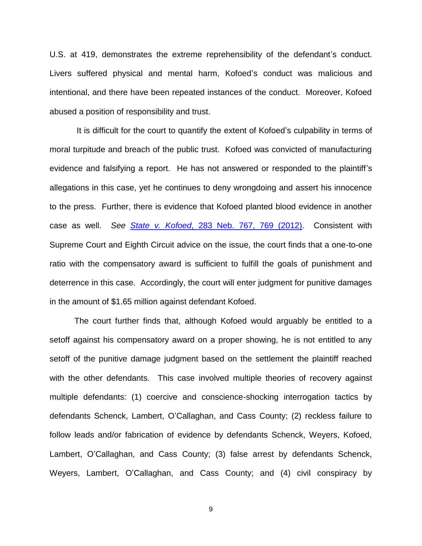U.S. at 419, demonstrates the extreme reprehensibility of the defendant's conduct. Livers suffered physical and mental harm, Kofoed's conduct was malicious and intentional, and there have been repeated instances of the conduct. Moreover, Kofoed abused a position of responsibility and trust.

It is difficult for the court to quantify the extent of Kofoed's culpability in terms of moral turpitude and breach of the public trust. Kofoed was convicted of manufacturing evidence and falsifying a report. He has not answered or responded to the plaintiff's allegations in this case, yet he continues to deny wrongdoing and assert his innocence to the press. Further, there is evidence that Kofoed planted blood evidence in another case as well. *See State v. Kofoed*[, 283 Neb. 767, 769 \(2012\).](http://web2.westlaw.com/find/default.wl?cite=283+neb+767&rs=WLW14.01&vr=2.0&rp=%2ffind%2fdefault.wl&sv=Split&fn=_top&mt=Westlaw) Consistent with Supreme Court and Eighth Circuit advice on the issue, the court finds that a one-to-one ratio with the compensatory award is sufficient to fulfill the goals of punishment and deterrence in this case. Accordingly, the court will enter judgment for punitive damages in the amount of \$1.65 million against defendant Kofoed.

The court further finds that, although Kofoed would arguably be entitled to a setoff against his compensatory award on a proper showing, he is not entitled to any setoff of the punitive damage judgment based on the settlement the plaintiff reached with the other defendants. This case involved multiple theories of recovery against multiple defendants: (1) coercive and conscience-shocking interrogation tactics by defendants Schenck, Lambert, O'Callaghan, and Cass County; (2) reckless failure to follow leads and/or fabrication of evidence by defendants Schenck, Weyers, Kofoed, Lambert, O'Callaghan, and Cass County; (3) false arrest by defendants Schenck, Weyers, Lambert, O'Callaghan, and Cass County; and (4) civil conspiracy by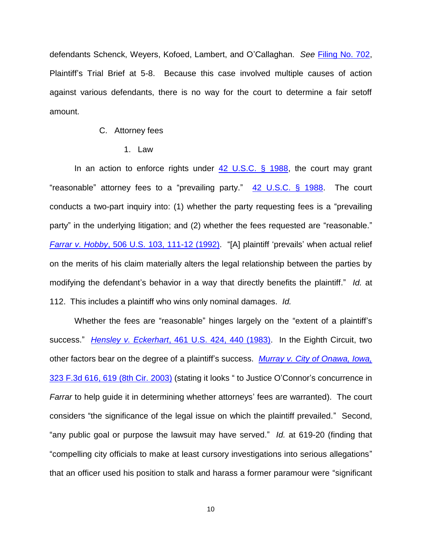defendants Schenck, Weyers, Kofoed, Lambert, and O'Callaghan. *See* [Filing No. 702,](https://ecf.ned.uscourts.gov/doc1/11312886966) Plaintiff's Trial Brief at 5-8. Because this case involved multiple causes of action against various defendants, there is no way for the court to determine a fair setoff amount.

## C. Attorney fees

1. Law

In an action to enforce rights under  $42$  U.S.C. § 1988, the court may grant "reasonable" attorney fees to a "prevailing party." [42 U.S.C. § 1988.](http://web2.westlaw.com/find/default.wl?cite=42+usc+1988&rs=WLW14.01&vr=2.0&rp=%2ffind%2fdefault.wl&sv=Split&fn=_top&mt=Westlaw) The court conducts a two-part inquiry into: (1) whether the party requesting fees is a "prevailing party" in the underlying litigation; and (2) whether the fees requested are "reasonable." *Farrar v. Hobby*[, 506 U.S. 103, 111-12 \(1992\).](http://web2.westlaw.com/find/default.wl?cite=506+us+103&rs=WLW14.01&vr=2.0&rp=%2ffind%2fdefault.wl&sv=Split&fn=_top&mt=Westlaw) "[A] plaintiff 'prevails' when actual relief on the merits of his claim materially alters the legal relationship between the parties by modifying the defendant's behavior in a way that directly benefits the plaintiff." *Id.* at 112. This includes a plaintiff who wins only nominal damages. *Id.*

Whether the fees are "reasonable" hinges largely on the "extent of a plaintiff's success." *Hensley v. Eckerhart*[, 461 U.S. 424, 440 \(1983\).](http://web2.westlaw.com/find/default.wl?cite=461+us+424&rs=WLW14.01&vr=2.0&rp=%2ffind%2fdefault.wl&sv=Split&fn=_top&mt=Westlaw) In the Eighth Circuit, two other factors bear on the degree of a plaintiff's success. *[Murray v. City of Onawa, Iowa,](http://web2.westlaw.com/find/default.wl?cite=323+f3d+616&rs=WLW14.01&vr=2.0&rp=%2ffind%2fdefault.wl&sv=Split&fn=_top&mt=Westlaw)* [323 F.3d 616, 619 \(8th Cir.](http://web2.westlaw.com/find/default.wl?cite=323+f3d+616&rs=WLW14.01&vr=2.0&rp=%2ffind%2fdefault.wl&sv=Split&fn=_top&mt=Westlaw) 2003) (stating it looks " to Justice O'Connor's concurrence in *Farrar* to help guide it in determining whether attorneys' fees are warranted). The court considers "the significance of the legal issue on which the plaintiff prevailed." Second, "any public goal or purpose the lawsuit may have served." *Id.* at 619-20 (finding that "compelling city officials to make at least cursory investigations into serious allegations" that an officer used his position to stalk and harass a former paramour were "significant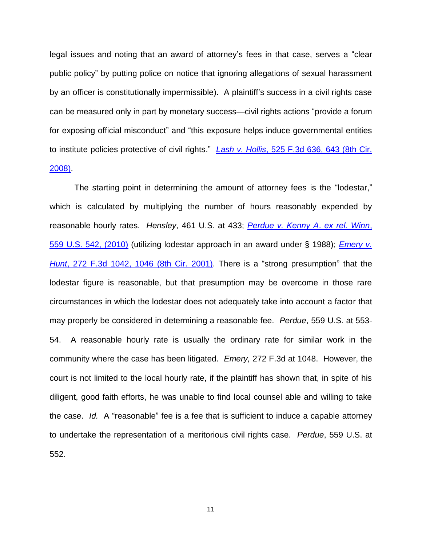legal issues and noting that an award of attorney's fees in that case, serves a "clear public policy" by putting police on notice that ignoring allegations of sexual harassment by an officer is constitutionally impermissible). A plaintiff's success in a civil rights case can be measured only in part by monetary success—civil rights actions "provide a forum for exposing official misconduct" and "this exposure helps induce governmental entities to institute policies protective of civil rights." *Lash v. Hollis*[, 525 F.3d 636, 643 \(8th Cir.](http://web2.westlaw.com/find/default.wl?cite=525+f3d+636&rs=WLW14.01&vr=2.0&rp=%2ffind%2fdefault.wl&sv=Split&fn=_top&mt=Westlaw)  [2008\).](http://web2.westlaw.com/find/default.wl?cite=525+f3d+636&rs=WLW14.01&vr=2.0&rp=%2ffind%2fdefault.wl&sv=Split&fn=_top&mt=Westlaw)

The starting point in determining the amount of attorney fees is the "lodestar," which is calculated by multiplying the number of hours reasonably expended by reasonable hourly rates. *Hensley*, 461 U.S. at 433; *[Perdue v. Kenny A](http://web2.westlaw.com/find/default.wl?cite=559+us+542&rs=WLW14.01&vr=2.0&rp=%2ffind%2fdefault.wl&sv=Split&fn=_top&mt=Westlaw)*. *ex rel. Winn*, 559 U.S. [542, \(2010\)](http://web2.westlaw.com/find/default.wl?cite=559+us+542&rs=WLW14.01&vr=2.0&rp=%2ffind%2fdefault.wl&sv=Split&fn=_top&mt=Westlaw) (utilizing lodestar approach in an award under § 1988); *[Emery v.](http://web2.westlaw.com/find/default.wl?cite=272+f3d+1042&rs=WLW14.01&vr=2.0&rp=%2ffind%2fdefault.wl&sv=Split&fn=_top&mt=Westlaw)  Hunt*[, 272 F.3d 1042, 1046 \(8th Cir.](http://web2.westlaw.com/find/default.wl?cite=272+f3d+1042&rs=WLW14.01&vr=2.0&rp=%2ffind%2fdefault.wl&sv=Split&fn=_top&mt=Westlaw) 2001). There is a "strong presumption" that the lodestar figure is reasonable, but that presumption may be overcome in those rare circumstances in which the lodestar does not adequately take into account a factor that may properly be considered in determining a reasonable fee. *Perdue*, 559 U.S. at 553- 54. A reasonable hourly rate is usually the ordinary rate for similar work in the community where the case has been litigated. *Emery,* 272 F.3d at 1048. However, the court is not limited to the local hourly rate, if the plaintiff has shown that, in spite of his diligent, good faith efforts, he was unable to find local counsel able and willing to take the case. *Id.* A "reasonable" fee is a fee that is sufficient to induce a capable attorney to undertake the representation of a meritorious civil rights case. *Perdue*, 559 U.S. at 552.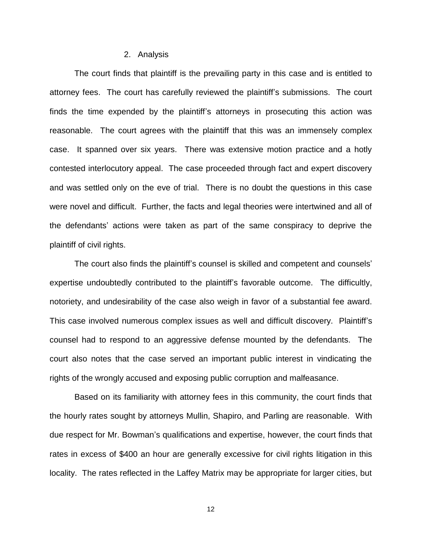### 2. Analysis

The court finds that plaintiff is the prevailing party in this case and is entitled to attorney fees. The court has carefully reviewed the plaintiff's submissions. The court finds the time expended by the plaintiff's attorneys in prosecuting this action was reasonable. The court agrees with the plaintiff that this was an immensely complex case. It spanned over six years. There was extensive motion practice and a hotly contested interlocutory appeal. The case proceeded through fact and expert discovery and was settled only on the eve of trial. There is no doubt the questions in this case were novel and difficult. Further, the facts and legal theories were intertwined and all of the defendants' actions were taken as part of the same conspiracy to deprive the plaintiff of civil rights.

The court also finds the plaintiff's counsel is skilled and competent and counsels' expertise undoubtedly contributed to the plaintiff's favorable outcome. The difficultly, notoriety, and undesirability of the case also weigh in favor of a substantial fee award. This case involved numerous complex issues as well and difficult discovery. Plaintiff's counsel had to respond to an aggressive defense mounted by the defendants. The court also notes that the case served an important public interest in vindicating the rights of the wrongly accused and exposing public corruption and malfeasance.

Based on its familiarity with attorney fees in this community, the court finds that the hourly rates sought by attorneys Mullin, Shapiro, and Parling are reasonable. With due respect for Mr. Bowman's qualifications and expertise, however, the court finds that rates in excess of \$400 an hour are generally excessive for civil rights litigation in this locality. The rates reflected in the Laffey Matrix may be appropriate for larger cities, but